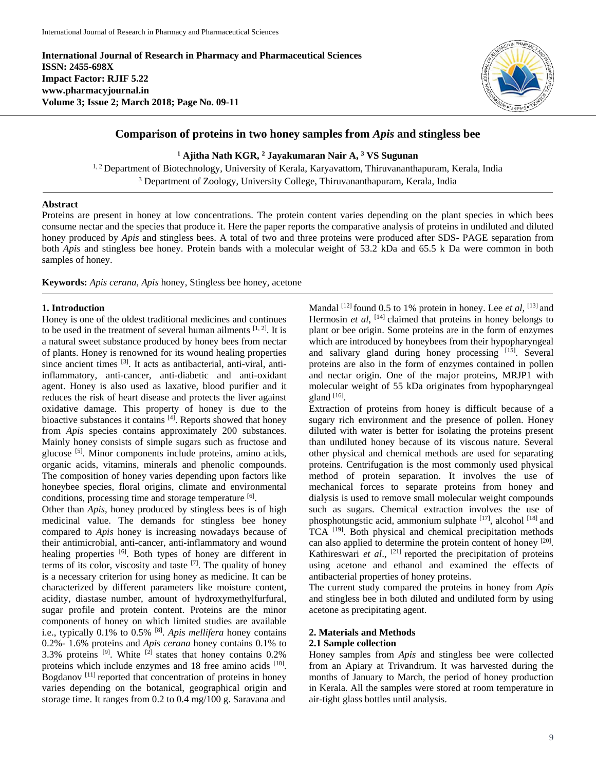**International Journal of Research in Pharmacy and Pharmaceutical Sciences ISSN: 2455-698X Impact Factor: RJIF 5.22 www.pharmacyjournal.in Volume 3; Issue 2; March 2018; Page No. 09-11**



# **Comparison of proteins in two honey samples from** *Apis* **and stingless bee**

**<sup>1</sup> Ajitha Nath KGR, <sup>2</sup> Jayakumaran Nair A, <sup>3</sup> VS Sugunan**

<sup>1, 2</sup> Department of Biotechnology, University of Kerala, Karyavattom, Thiruvananthapuram, Kerala, India <sup>3</sup> Department of Zoology, University College, Thiruvananthapuram, Kerala, India

#### **Abstract**

Proteins are present in honey at low concentrations. The protein content varies depending on the plant species in which bees consume nectar and the species that produce it. Here the paper reports the comparative analysis of proteins in undiluted and diluted honey produced by *Apis* and stingless bees. A total of two and three proteins were produced after SDS- PAGE separation from both *Apis* and stingless bee honey. Protein bands with a molecular weight of 53.2 kDa and 65.5 k Da were common in both samples of honey.

**Keywords:** *Apis cerana, Apis* honey, Stingless bee honey, acetone

#### **1. Introduction**

Honey is one of the oldest traditional medicines and continues to be used in the treatment of several human ailments  $[1, 2]$ . It is a natural sweet substance produced by honey bees from nectar of plants. Honey is renowned for its wound healing properties since ancient times <sup>[3]</sup>. It acts as antibacterial, anti-viral, antiinflammatory, anti-cancer, anti-diabetic and anti-oxidant agent. Honey is also used as laxative, blood purifier and it reduces the risk of heart disease and protects the liver against oxidative damage. This property of honey is due to the bioactive substances it contains <sup>[4]</sup>. Reports showed that honey from *Apis* species contains approximately 200 substances. Mainly honey consists of simple sugars such as fructose and glucose [5]. Minor components include proteins, amino acids, organic acids, vitamins, minerals and phenolic compounds. The composition of honey varies depending upon factors like honeybee species, floral origins, climate and environmental conditions, processing time and storage temperature [6].

Other than *Apis*, honey produced by stingless bees is of high medicinal value. The demands for stingless bee honey compared to *Apis* honey is increasing nowadays because of their antimicrobial, anti-cancer, anti-inflammatory and wound healing properties <sup>[6]</sup>. Both types of honey are different in terms of its color, viscosity and taste  $[7]$ . The quality of honey is a necessary criterion for using honey as medicine. It can be characterized by different parameters like moisture content, acidity, diastase number, amount of hydroxymethylfurfural, sugar profile and protein content. Proteins are the minor components of honey on which limited studies are available i.e., typically 0.1% to 0.5% [8] . *Apis mellifera* honey contains 0.2%- 1.6% proteins and *Apis cerana* honey contains 0.1% to 3.3% proteins  $[9]$ . White  $[2]$  states that honey contains 0.2% proteins which include enzymes and 18 free amino acids [10]. Bogdanov<sup>[11]</sup> reported that concentration of proteins in honey varies depending on the botanical, geographical origin and storage time. It ranges from 0.2 to 0.4 mg/100 g. Saravana and

Mandal <sup>[12]</sup> found 0.5 to 1% protein in honey. Lee *et al*, <sup>[13]</sup> and Hermosin *et al*, <sup>[14]</sup> claimed that proteins in honey belongs to plant or bee origin. Some proteins are in the form of enzymes which are introduced by honeybees from their hypopharyngeal and salivary gland during honey processing [15]. Several proteins are also in the form of enzymes contained in pollen and nectar origin. One of the major proteins, MRJP1 with molecular weight of 55 kDa originates from hypopharyngeal gland  $[16]$ .

Extraction of proteins from honey is difficult because of a sugary rich environment and the presence of pollen. Honey diluted with water is better for isolating the proteins present than undiluted honey because of its viscous nature. Several other physical and chemical methods are used for separating proteins. Centrifugation is the most commonly used physical method of protein separation. It involves the use of mechanical forces to separate proteins from honey and dialysis is used to remove small molecular weight compounds such as sugars. Chemical extraction involves the use of phosphotungstic acid, ammonium sulphate [17], alcohol [18] and TCA [19]. Both physical and chemical precipitation methods can also applied to determine the protein content of honey [20]. Kathireswari et al., <sup>[21]</sup> reported the precipitation of proteins using acetone and ethanol and examined the effects of antibacterial properties of honey proteins.

The current study compared the proteins in honey from *Apis* and stingless bee in both diluted and undiluted form by using acetone as precipitating agent.

## **2. Materials and Methods**

## **2.1 Sample collection**

Honey samples from *Apis* and stingless bee were collected from an Apiary at Trivandrum. It was harvested during the months of January to March, the period of honey production in Kerala. All the samples were stored at room temperature in air-tight glass bottles until analysis.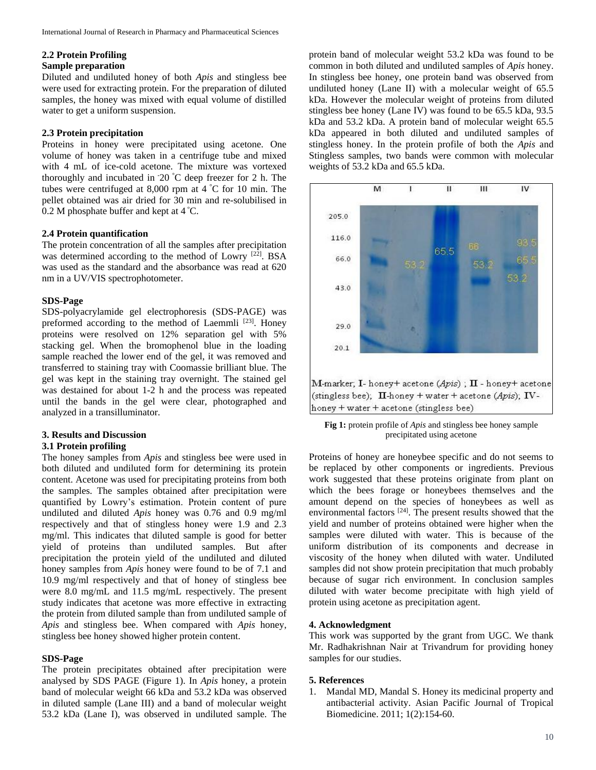## **2.2 Protein Profiling**

## **Sample preparation**

Diluted and undiluted honey of both *Apis* and stingless bee were used for extracting protein. For the preparation of diluted samples, the honey was mixed with equal volume of distilled water to get a uniform suspension.

## **2.3 Protein precipitation**

Proteins in honey were precipitated using acetone. One volume of honey was taken in a centrifuge tube and mixed with 4 mL of ice-cold acetone. The mixture was vortexed thoroughly and incubated in -20 °C deep freezer for 2 h. The tubes were centrifuged at 8,000 rpm at 4 °C for 10 min. The pellet obtained was air dried for 30 min and re-solubilised in 0.2 M phosphate buffer and kept at 4 °C.

#### **2.4 Protein quantification**

The protein concentration of all the samples after precipitation was determined according to the method of Lowry [22]. BSA was used as the standard and the absorbance was read at 620 nm in a UV/VIS spectrophotometer.

### **SDS-Page**

SDS-polyacrylamide gel electrophoresis (SDS-PAGE) was preformed according to the method of Laemmli [23]. Honey proteins were resolved on 12% separation gel with 5% stacking gel. When the bromophenol blue in the loading sample reached the lower end of the gel, it was removed and transferred to staining tray with Coomassie brilliant blue. The gel was kept in the staining tray overnight. The stained gel was destained for about 1-2 h and the process was repeated until the bands in the gel were clear, photographed and analyzed in a transilluminator.

## **3. Results and Discussion**

#### **3.1 Protein profiling**

The honey samples from *Apis* and stingless bee were used in both diluted and undiluted form for determining its protein content. Acetone was used for precipitating proteins from both the samples. The samples obtained after precipitation were quantified by Lowry's estimation. Protein content of pure undiluted and diluted *Apis* honey was 0.76 and 0.9 mg/ml respectively and that of stingless honey were 1.9 and 2.3 mg/ml. This indicates that diluted sample is good for better yield of proteins than undiluted samples. But after precipitation the protein yield of the undiluted and diluted honey samples from *Apis* honey were found to be of 7.1 and 10.9 mg/ml respectively and that of honey of stingless bee were 8.0 mg/mL and 11.5 mg/mL respectively. The present study indicates that acetone was more effective in extracting the protein from diluted sample than from undiluted sample of *Apis* and stingless bee. When compared with *Apis* honey, stingless bee honey showed higher protein content.

#### **SDS-Page**

The protein precipitates obtained after precipitation were analysed by SDS PAGE (Figure 1). In *Apis* honey, a protein band of molecular weight 66 kDa and 53.2 kDa was observed in diluted sample (Lane III) and a band of molecular weight 53.2 kDa (Lane I), was observed in undiluted sample. The

protein band of molecular weight 53.2 kDa was found to be common in both diluted and undiluted samples of *Apis* honey. In stingless bee honey, one protein band was observed from undiluted honey (Lane II) with a molecular weight of 65.5 kDa. However the molecular weight of proteins from diluted stingless bee honey (Lane IV) was found to be 65.5 kDa, 93.5 kDa and 53.2 kDa. A protein band of molecular weight 65.5 kDa appeared in both diluted and undiluted samples of stingless honey. In the protein profile of both the *Apis* and Stingless samples, two bands were common with molecular weights of 53.2 kDa and 65.5 kDa.



**Fig 1:** protein profile of *Apis* and stingless bee honey sample precipitated using acetone

Proteins of honey are honeybee specific and do not seems to be replaced by other components or ingredients. Previous work suggested that these proteins originate from plant on which the bees forage or honeybees themselves and the amount depend on the species of honeybees as well as environmental factors [24]. The present results showed that the yield and number of proteins obtained were higher when the samples were diluted with water. This is because of the uniform distribution of its components and decrease in viscosity of the honey when diluted with water. Undiluted samples did not show protein precipitation that much probably because of sugar rich environment. In conclusion samples diluted with water become precipitate with high yield of protein using acetone as precipitation agent.

### **4. Acknowledgment**

This work was supported by the grant from UGC. We thank Mr. Radhakrishnan Nair at Trivandrum for providing honey samples for our studies.

#### **5. References**

1. Mandal MD, Mandal S. Honey its medicinal property and antibacterial activity. Asian Pacific Journal of Tropical Biomedicine. 2011; 1(2):154-60.